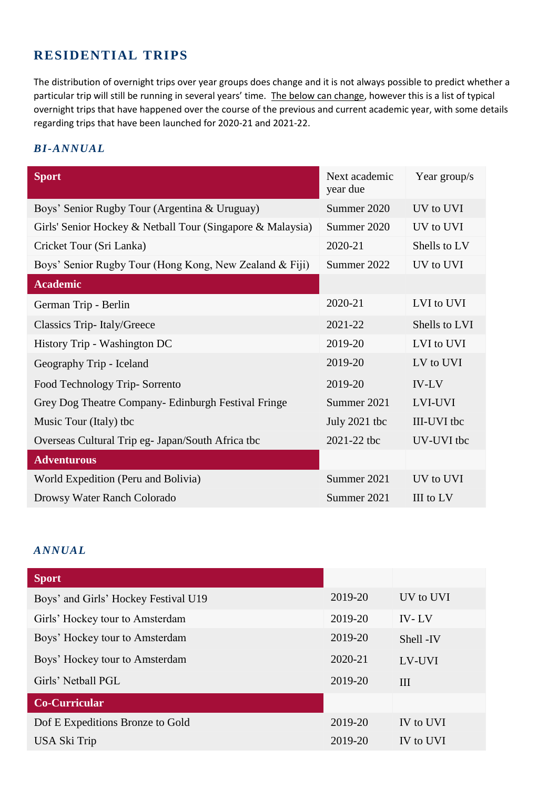## **RESIDENTIAL TRIPS**

The distribution of overnight trips over year groups does change and it is not always possible to predict whether a particular trip will still be running in several years' time. The below can change, however this is a list of typical overnight trips that have happened over the course of the previous and current academic year, with some details regarding trips that have been launched for 2020-21 and 2021-22.

## *BI-ANNUAL*

| <b>Sport</b>                                               | Next academic<br>year due | Year group/s  |
|------------------------------------------------------------|---------------------------|---------------|
| Boys' Senior Rugby Tour (Argentina & Uruguay)              | Summer 2020               | UV to UVI     |
| Girls' Senior Hockey & Netball Tour (Singapore & Malaysia) | Summer 2020               | UV to UVI     |
| Cricket Tour (Sri Lanka)                                   | 2020-21                   | Shells to LV  |
| Boys' Senior Rugby Tour (Hong Kong, New Zealand & Fiji)    | Summer 2022               | UV to UVI     |
| <b>Academic</b>                                            |                           |               |
| German Trip - Berlin                                       | 2020-21                   | LVI to UVI    |
| Classics Trip-Italy/Greece                                 | 2021-22                   | Shells to LVI |
| History Trip - Washington DC                               | 2019-20                   | LVI to UVI    |
| Geography Trip - Iceland                                   | 2019-20                   | LV to UVI     |
| Food Technology Trip-Sorrento                              | 2019-20                   | <b>IV-LV</b>  |
| Grey Dog Theatre Company- Edinburgh Festival Fringe        | Summer 2021               | LVI-UVI       |
| Music Tour (Italy) tbc                                     | July 2021 tbc             | III-UVI tbc   |
| Overseas Cultural Trip eg - Japan/South Africa tbc         | 2021-22 tbc               | UV-UVI tbc    |
| <b>Adventurous</b>                                         |                           |               |
| World Expedition (Peru and Bolivia)                        | Summer 2021               | UV to UVI     |
| Drowsy Water Ranch Colorado                                | Summer 2021               | III to LV     |

## *ANNUAL*

| <b>Sport</b>                         |         |              |
|--------------------------------------|---------|--------------|
| Boys' and Girls' Hockey Festival U19 | 2019-20 | UV to UVI    |
| Girls' Hockey tour to Amsterdam      | 2019-20 | <b>IV-LV</b> |
| Boys' Hockey tour to Amsterdam       | 2019-20 | Shell -IV    |
| Boys' Hockey tour to Amsterdam       | 2020-21 | LV-UVI       |
| Girls' Netball PGL                   | 2019-20 | III          |
| <b>Co-Curricular</b>                 |         |              |
| Dof E Expeditions Bronze to Gold     | 2019-20 | IV to UVI    |
| USA Ski Trip                         | 2019-20 | IV to UVI    |